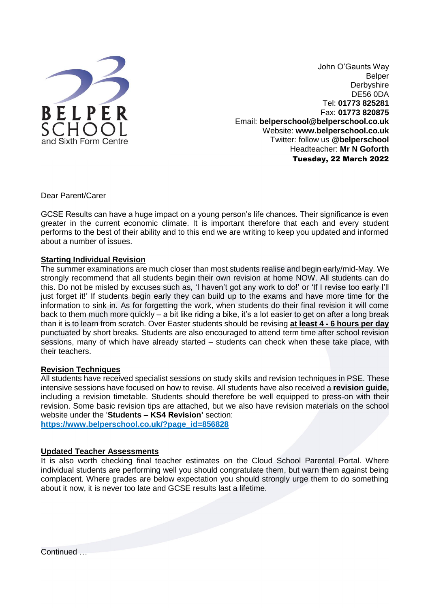

John O'Gaunts Way Belper **Derbyshire** DE56 0DA Tel: **01773 825281** Fax: **01773 820875** Email: **belperschool@belperschool.co.uk** Website: **[www.belperschool.co.uk](http://www.belperschool.co.uk/)** Twitter: follow us **@belperschool** Headteacher: **Mr N Goforth** Tuesday, 22 March 2022

Dear Parent/Carer

GCSE Results can have a huge impact on a young person's life chances. Their significance is even greater in the current economic climate. It is important therefore that each and every student performs to the best of their ability and to this end we are writing to keep you updated and informed about a number of issues.

## **Starting Individual Revision**

The summer examinations are much closer than most students realise and begin early/mid-May. We strongly recommend that all students begin their own revision at home NOW. All students can do this. Do not be misled by excuses such as, 'I haven't got any work to do!' or 'If I revise too early I'll just forget it!' If students begin early they can build up to the exams and have more time for the information to sink in. As for forgetting the work, when students do their final revision it will come back to them much more quickly – a bit like riding a bike, it's a lot easier to get on after a long break than it is to learn from scratch. Over Easter students should be revising **at least 4 - 6 hours per day** punctuated by short breaks. Students are also encouraged to attend term time after school revision sessions, many of which have already started – students can check when these take place, with their teachers.

## **Revision Techniques**

All students have received specialist sessions on study skills and revision techniques in PSE. These intensive sessions have focused on how to revise. All students have also received a **revision guide,** including a revision timetable. Students should therefore be well equipped to press-on with their revision. Some basic revision tips are attached, but we also have revision materials on the school website under the '**Students – KS4 Revision'** section:

**[https://www.belperschool.co.uk/?page\\_id=856828](https://www.belperschool.co.uk/?page_id=856828)**

### **Updated Teacher Assessments**

It is also worth checking final teacher estimates on the Cloud School Parental Portal. Where individual students are performing well you should congratulate them, but warn them against being complacent. Where grades are below expectation you should strongly urge them to do something about it now, it is never too late and GCSE results last a lifetime.

Continued …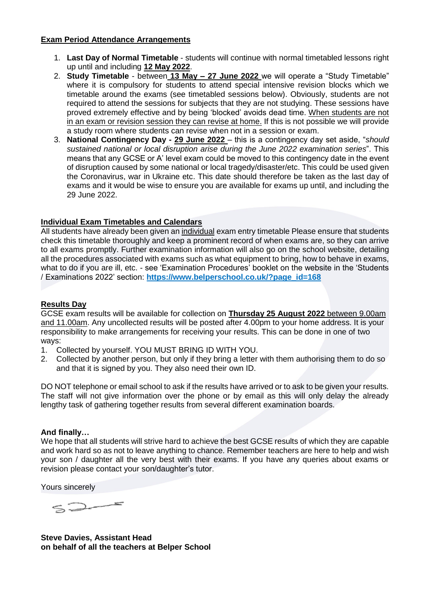## **Exam Period Attendance Arrangements**

- 1. **Last Day of Normal Timetable** students will continue with normal timetabled lessons right up until and including **12 May 2022**.
- 2. **Study Timetable** between **13 May – 27 June 2022** we will operate a "Study Timetable" where it is compulsory for students to attend special intensive revision blocks which we timetable around the exams (see timetabled sessions below). Obviously, students are not required to attend the sessions for subjects that they are not studying. These sessions have proved extremely effective and by being 'blocked' avoids dead time. When students are not in an exam or revision session they can revise at home. If this is not possible we will provide a study room where students can revise when not in a session or exam.
- 3. **National Contingency Day - 29 June 2022** this is a contingency day set aside, "*should sustained national or local disruption arise during the June 2022 examination series*". This means that any GCSE or A' level exam could be moved to this contingency date in the event of disruption caused by some national or local tragedy/disaster/etc. This could be used given the Coronavirus, war in Ukraine etc. This date should therefore be taken as the last day of exams and it would be wise to ensure you are available for exams up until, and including the 29 June 2022.

## **Individual Exam Timetables and Calendars**

All students have already been given an individual exam entry timetable Please ensure that students check this timetable thoroughly and keep a prominent record of when exams are, so they can arrive to all exams promptly. Further examination information will also go on the school website, detailing all the procedures associated with exams such as what equipment to bring, how to behave in exams, what to do if you are ill, etc. - see 'Examination Procedures' booklet on the website in the 'Students / Examinations 2022' section: **[https://www.belperschool.co.uk/?page\\_id=168](https://www.belperschool.co.uk/?page_id=168)**

## **Results Day**

GCSE exam results will be available for collection on **Thursday 25 August 2022** between 9.00am and 11.00am. Any uncollected results will be posted after 4.00pm to your home address. It is your responsibility to make arrangements for receiving your results. This can be done in one of two ways:

- 1. Collected by yourself. YOU MUST BRING ID WITH YOU.
- 2. Collected by another person, but only if they bring a letter with them authorising them to do so and that it is signed by you. They also need their own ID.

DO NOT telephone or email school to ask if the results have arrived or to ask to be given your results. The staff will not give information over the phone or by email as this will only delay the already lengthy task of gathering together results from several different examination boards.

## **And finally…**

We hope that all students will strive hard to achieve the best GCSE results of which they are capable and work hard so as not to leave anything to chance. Remember teachers are here to help and wish your son / daughter all the very best with their exams. If you have any queries about exams or revision please contact your son/daughter's tutor.

Yours sincerely

 $52-$ 

**Steve Davies, Assistant Head on behalf of all the teachers at Belper School**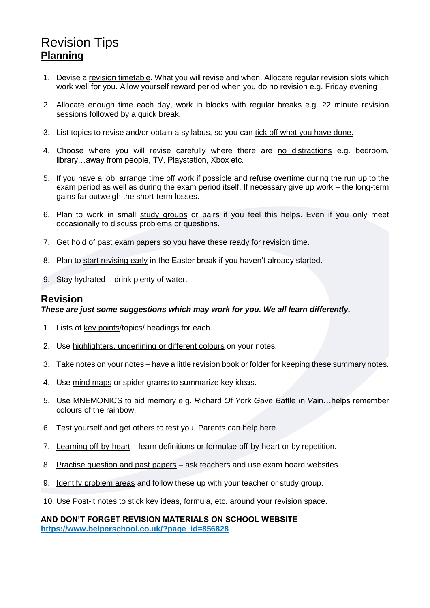# Revision Tips **Planning**

- 1. Devise a revision timetable. What you will revise and when. Allocate regular revision slots which work well for you. Allow yourself reward period when you do no revision e.g. Friday evening
- 2. Allocate enough time each day, work in blocks with regular breaks e.g. 22 minute revision sessions followed by a quick break.
- 3. List topics to revise and/or obtain a syllabus, so you can tick off what you have done.
- 4. Choose where you will revise carefully where there are no distractions e.g. bedroom, library…away from people, TV, Playstation, Xbox etc.
- 5. If you have a job, arrange time off work if possible and refuse overtime during the run up to the exam period as well as during the exam period itself. If necessary give up work – the long-term gains far outweigh the short-term losses.
- 6. Plan to work in small study groups or pairs if you feel this helps. Even if you only meet occasionally to discuss problems or questions.
- 7. Get hold of past exam papers so you have these ready for revision time.
- 8. Plan to start revising early in the Easter break if you haven't already started.
- 9. Stay hydrated drink plenty of water.

## **Revision**

### *These are just some suggestions which may work for you. We all learn differently.*

- 1. Lists of key points/topics/ headings for each.
- 2. Use highlighters, underlining or different colours on your notes.
- 3. Take notes on your notes have a little revision book or folder for keeping these summary notes.
- 4. Use mind maps or spider grams to summarize key ideas.
- 5. Use MNEMONICS to aid memory e.g. *R*ichard *O*f *Y*ork *G*ave *B*attle *I*n *V*ain…helps remember colours of the rainbow.
- 6. Test yourself and get others to test you. Parents can help here.
- 7. Learning off-by-heart learn definitions or formulae off-by-heart or by repetition.
- 8. Practise question and past papers ask teachers and use exam board websites.
- 9. Identify problem areas and follow these up with your teacher or study group.
- 10. Use Post-it notes to stick key ideas, formula, etc. around your revision space.

## **AND DON'T FORGET REVISION MATERIALS ON SCHOOL WEBSITE https://www.belperschool.co.uk/?page\_id=856828**